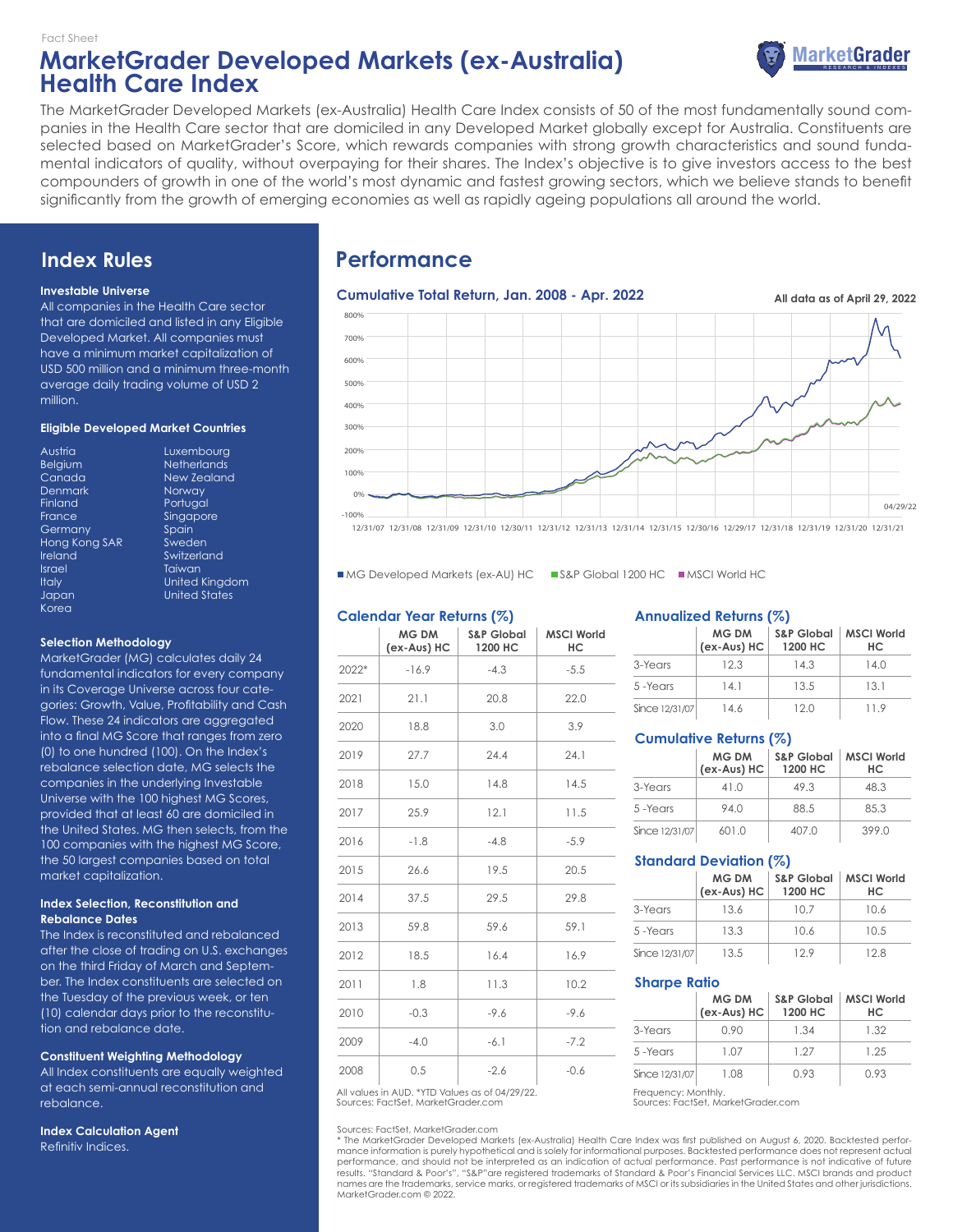## **MarketGrader Developed Markets (ex-Australia) Health Care Index** Fact Sheet



The MarketGrader Developed Markets (ex-Australia) Health Care Index consists of 50 of the most fundamentally sound companies in the Health Care sector that are domiciled in any Developed Market globally except for Australia. Constituents are selected based on MarketGrader's Score, which rewards companies with strong growth characteristics and sound fundamental indicators of quality, without overpaying for their shares. The Index's objective is to give investors access to the best compounders of growth in one of the world's most dynamic and fastest growing sectors, which we believe stands to benefit significantly from the growth of emerging economies as well as rapidly ageing populations all around the world.

## **Index Rules**

#### **Investable Universe**

All companies in the Health Care sector that are domiciled and listed in any Eligible Developed Market. All companies must have a minimum market capitalization of USD 500 million and a minimum three-month average daily trading volume of USD 2 million.

#### **Eligible Developed Market Countries**

| Luxemb        |
|---------------|
| Netheric      |
| New Zec       |
| <b>Norway</b> |
| Portugal      |
| Singapo       |
| Spain         |
| Sweden        |
| Switzerlo     |
| Taiwan        |
| United K      |
| United S      |
|               |
|               |

**Netherlands** New Zealand Norway Portugal **Singapore** Spain Sweden **Switzerland Taiwan** United Kingdom United States

Luxembourg

#### **Selection Methodology**

MarketGrader (MG) calculates daily 24 fundamental indicators for every company in its Coverage Universe across four categories: Growth, Value, Profitability and Cash Flow. These 24 indicators are aggregated into a final MG Score that ranges from zero (0) to one hundred (100). On the Index's rebalance selection date, MG selects the companies in the underlying Investable Universe with the 100 highest MG Scores, provided that at least 60 are domiciled in the United States. MG then selects, from the 100 companies with the highest MG Score, the 50 largest companies based on total market capitalization.

#### **Index Selection, Reconstitution and Rebalance Dates**

The Index is reconstituted and rebalanced after the close of trading on U.S. exchanges on the third Friday of March and September. The Index constituents are selected on the Tuesday of the previous week, or ten (10) calendar days prior to the reconstitution and rebalance date.

#### **Constituent Weighting Methodology**

All Index constituents are equally weighted at each semi-annual reconstitution and rebalance.

**Index Calculation Agent** Refinitiv Indices.

# **Performance**

## Cumulative Total Return, Jan. 2008 - Apr. 2022 **All data as of April 29, 2022** -100% 0% 100% 200% 300% 400% 500% 600% 700% 800% 04/29/22

12/31/07 12/31/08 12/31/09 12/31/10 12/30/11 12/31/12 12/31/13 12/31/14 12/31/15 12/30/16 12/29/17 12/31/18 12/31/19 12/31/20 12/31/21

■ MG Developed Markets (ex-AU) HC ■ S&P Global 1200 HC ■ MSCI World HC

#### **Calendar Year Returns (%)**

|       | MG DM<br>(ex-Aus) HC | <b>S&amp;P Global</b><br>1200 HC | <b>MSCI World</b><br>HС |
|-------|----------------------|----------------------------------|-------------------------|
| 2022* | $-16.9$              | $-4.3$                           | $-5.5$                  |
| 2021  | 21.1                 | 20.8                             | 22.0                    |
| 2020  | 18.8                 | 3.0                              | 3.9                     |
| 2019  | 27.7                 | 24.4                             | 24.1                    |
| 2018  | 15.0                 | 14.8                             | 14.5                    |
| 2017  | 25.9                 | 12.1                             | 11.5                    |
| 2016  | $-1.8$               | $-4.8$                           | $-5.9$                  |
| 2015  | 26.6                 | 19.5                             | 20.5                    |
| 2014  | 37.5                 | 29.5                             | 29.8                    |
| 2013  | 59.8                 | 59.6                             | 59.1                    |
| 2012  | 18.5                 | 16.4                             | 16.9                    |
| 2011  | 1.8                  | 11.3                             | 10.2                    |
| 2010  | $-0.3$               | $-9.6$                           | $-9.6$                  |
| 2009  | $-4.0$               | $-6.1$                           | $-7.2$                  |
| 2008  | 0.5                  | $-2.6$                           | $-0.6$                  |

Sources: FactSet, MarketGrader.com All values in AUD. \*YTD Values as of 04/29/22. Frequency: Monthly.

#### Sources: FactSet, MarketGrader.com

\* The MarketGrader Developed Markets (ex-Australia) Health Care Index was first published on August 6, 2020. Backtested performance information is purely hypothetical and is solely for informational purposes. Backtested performance does not represent actual<br>performance, and should not be interpreted as an indication of actual performance. Past pe results. "Standard & Poor's", "S&P"are registered trademarks of Standard & Poor's Financial Services LLC. MSCI brands and product names are the trademarks, service marks, or registered trademarks of MSCI or its subsidiaries in the United States and other jurisdictions. MarketGrader.com © 2022.

#### **Annualized Returns (%)**

|                | <b>MG DM</b><br>(ex-Aus) HC | <b>S&amp;P Global</b><br>1200 HC | <b>MSCI World</b><br>HС |
|----------------|-----------------------------|----------------------------------|-------------------------|
| 3-Years        | 12.3                        | 14.3                             | 14.0                    |
| 5-Years        | 14.1                        | 13.5                             | 13.1                    |
| Since 12/31/07 | 14.6                        | 12.0                             | 119                     |

#### **Cumulative Returns (%)**

|                | <b>MG DM</b><br>(ex-Aus) HC | <b>S&amp;P Global</b><br>1200 HC | <b>MSCI World</b><br>HС |
|----------------|-----------------------------|----------------------------------|-------------------------|
| 3-Years        | 41.0                        | 49.3                             | 48.3                    |
| 5-Years        | 94.0                        | 88.5                             | 85.3                    |
| Since 12/31/07 | 601.0                       | 407.0                            | 399.0                   |

#### **Standard Deviation (%)**

|                | <b>MG DM</b><br>(ex-Aus) HC | <b>S&amp;P Global</b><br>1200 HC | <b>MSCI World</b><br>HС |
|----------------|-----------------------------|----------------------------------|-------------------------|
| 3-Years        | 13.6                        | 10.7                             | 10.6                    |
| 5-Years        | 13.3                        | 10.6                             | 10.5                    |
| Since 12/31/07 | 13.5                        | 12.9                             | 12.8                    |

#### **Sharpe Ratio**

|                | <b>MG DM</b><br>(ex-Aus) HC | <b>S&amp;P Global</b><br>1200 HC | <b>MSCI World</b><br>HС |
|----------------|-----------------------------|----------------------------------|-------------------------|
| 3-Years        | 0.90                        | 1.34                             | 1.32                    |
| 5-Years        | 1.07                        | 127                              | 1 25                    |
| Since 12/31/07 | 1.08                        | 0.93                             | O 93                    |

Sources: FactSet, MarketGrader.com